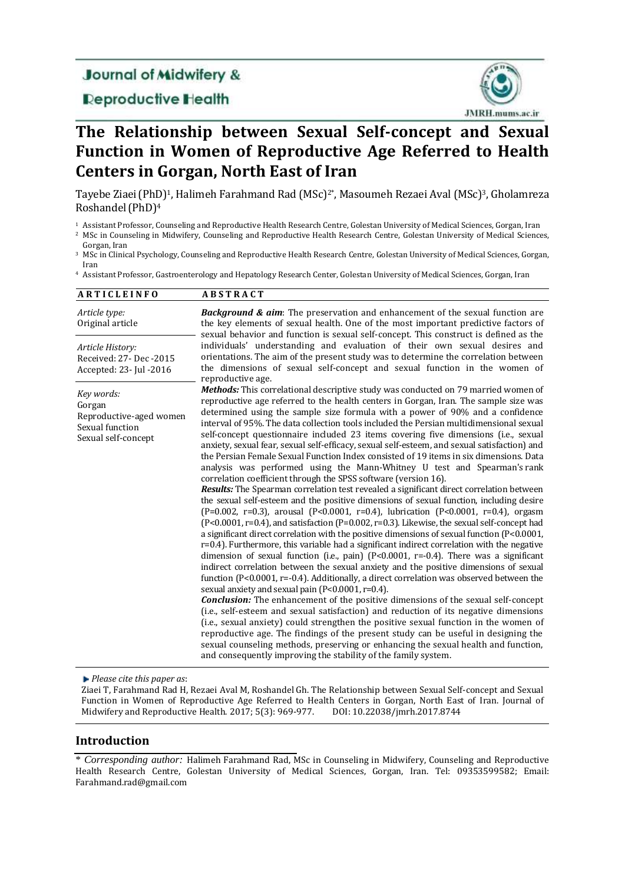# **Journal of Midwifery &**

# **Deproductive Health**



# **The Relationship between Sexual Self-concept and Sexual Function in Women of Reproductive Age Referred to Health Centers in Gorgan, North East of Iran**

Tayebe Ziaei(PhD)1, Halimeh Farahmand Rad (MSc)2\*, Masoumeh Rezaei Aval (MSc)3, Gholamreza Roshandel(PhD)<sup>4</sup>

<sup>1</sup> Assistant Professor, Counseling and Reproductive Health Research Centre, Golestan University of Medical Sciences, Gorgan, Iran

- <sup>2</sup> MSc in Counseling in Midwifery, Counseling and Reproductive Health Research Centre, Golestan University of Medical Sciences, Gorgan, Iran
- <sup>3</sup> MSc in Clinical Psychology, Counseling and Reproductive Health Research Centre, Golestan University of Medical Sciences, Gorgan, Iran

<sup>4</sup> Assistant Professor, Gastroenterology and Hepatology Research Center, Golestan University of Medical Sciences, Gorgan, Iran

| <b>ARTICLEINFO</b>                                                                        | <b>ABSTRACT</b>                                                                                                                                                                                                                                                                                                                                                                                                                                                                                                                                                                                                                                                                                                                                                                                                                                                                                                                                                                                                                                                                                                                                                                                                                                                                                                                                                                                                                                                                                                                                                                                                                                                                                                                                                                                                                                                                                                                                                                                                                                                                                                                                                                                                                                |
|-------------------------------------------------------------------------------------------|------------------------------------------------------------------------------------------------------------------------------------------------------------------------------------------------------------------------------------------------------------------------------------------------------------------------------------------------------------------------------------------------------------------------------------------------------------------------------------------------------------------------------------------------------------------------------------------------------------------------------------------------------------------------------------------------------------------------------------------------------------------------------------------------------------------------------------------------------------------------------------------------------------------------------------------------------------------------------------------------------------------------------------------------------------------------------------------------------------------------------------------------------------------------------------------------------------------------------------------------------------------------------------------------------------------------------------------------------------------------------------------------------------------------------------------------------------------------------------------------------------------------------------------------------------------------------------------------------------------------------------------------------------------------------------------------------------------------------------------------------------------------------------------------------------------------------------------------------------------------------------------------------------------------------------------------------------------------------------------------------------------------------------------------------------------------------------------------------------------------------------------------------------------------------------------------------------------------------------------------|
| Article type:<br>Original article                                                         | <b>Background &amp; aim:</b> The preservation and enhancement of the sexual function are<br>the key elements of sexual health. One of the most important predictive factors of<br>sexual behavior and function is sexual self-concept. This construct is defined as the                                                                                                                                                                                                                                                                                                                                                                                                                                                                                                                                                                                                                                                                                                                                                                                                                                                                                                                                                                                                                                                                                                                                                                                                                                                                                                                                                                                                                                                                                                                                                                                                                                                                                                                                                                                                                                                                                                                                                                        |
| Article History:<br>Received: 27- Dec - 2015<br>Accepted: 23- Jul -2016                   | individuals' understanding and evaluation of their own sexual desires and<br>orientations. The aim of the present study was to determine the correlation between<br>the dimensions of sexual self-concept and sexual function in the women of<br>reproductive age.                                                                                                                                                                                                                                                                                                                                                                                                                                                                                                                                                                                                                                                                                                                                                                                                                                                                                                                                                                                                                                                                                                                                                                                                                                                                                                                                                                                                                                                                                                                                                                                                                                                                                                                                                                                                                                                                                                                                                                             |
| Key words:<br>Gorgan<br>Reproductive-aged women<br>Sexual function<br>Sexual self-concept | <b>Methods:</b> This correlational descriptive study was conducted on 79 married women of<br>reproductive age referred to the health centers in Gorgan, Iran. The sample size was<br>determined using the sample size formula with a power of 90% and a confidence<br>interval of 95%. The data collection tools included the Persian multidimensional sexual<br>self-concept questionnaire included 23 items covering five dimensions (i.e., sexual<br>anxiety, sexual fear, sexual self-efficacy, sexual self-esteem, and sexual satisfaction) and<br>the Persian Female Sexual Function Index consisted of 19 items in six dimensions. Data<br>analysis was performed using the Mann-Whitney U test and Spearman's rank<br>correlation coefficient through the SPSS software (version 16).<br><b>Results:</b> The Spearman correlation test revealed a significant direct correlation between<br>the sexual self-esteem and the positive dimensions of sexual function, including desire<br>(P=0.002, r=0.3), arousal (P<0.0001, r=0.4), lubrication (P<0.0001, r=0.4), orgasm<br>(P<0.0001, r=0.4), and satisfaction (P=0.002, r=0.3). Likewise, the sexual self-concept had<br>a significant direct correlation with the positive dimensions of sexual function (P<0.0001,<br>r=0.4). Furthermore, this variable had a significant indirect correlation with the negative<br>dimension of sexual function (i.e., pain) $(P<0.0001, r=-0.4)$ . There was a significant<br>indirect correlation between the sexual anxiety and the positive dimensions of sexual<br>function (P<0.0001, r=-0.4). Additionally, a direct correlation was observed between the<br>sexual anxiety and sexual pain (P<0.0001, r=0.4).<br><b>Conclusion:</b> The enhancement of the positive dimensions of the sexual self-concept<br>(i.e., self-esteem and sexual satisfaction) and reduction of its negative dimensions<br>(i.e., sexual anxiety) could strengthen the positive sexual function in the women of<br>reproductive age. The findings of the present study can be useful in designing the<br>sexual counseling methods, preserving or enhancing the sexual health and function,<br>and consequently improving the stability of the family system. |

*Please cite this paper as*:

Ziaei T, Farahmand Rad H, Rezaei Aval M, Roshandel Gh. The Relationship between Sexual Self-concept and Sexual Function in Women of Reproductive Age Referred to Health Centers in Gorgan, North East of Iran. Journal of Midwifery and Reproductive Health. 2017; 5(3): 969-977. DOI: 10.22038/jmrh.2017.8744

## **Introduction**

\* *Corresponding author:* Halimeh Farahmand Rad, MSc in Counseling in Midwifery, Counseling and Reproductive Health Research Centre, Golestan University of Medical Sciences, Gorgan, Iran. Tel: 09353599582; Email: [Farahmand.rad@gmail.com](mailto:Farahmand.rad@gmail.com)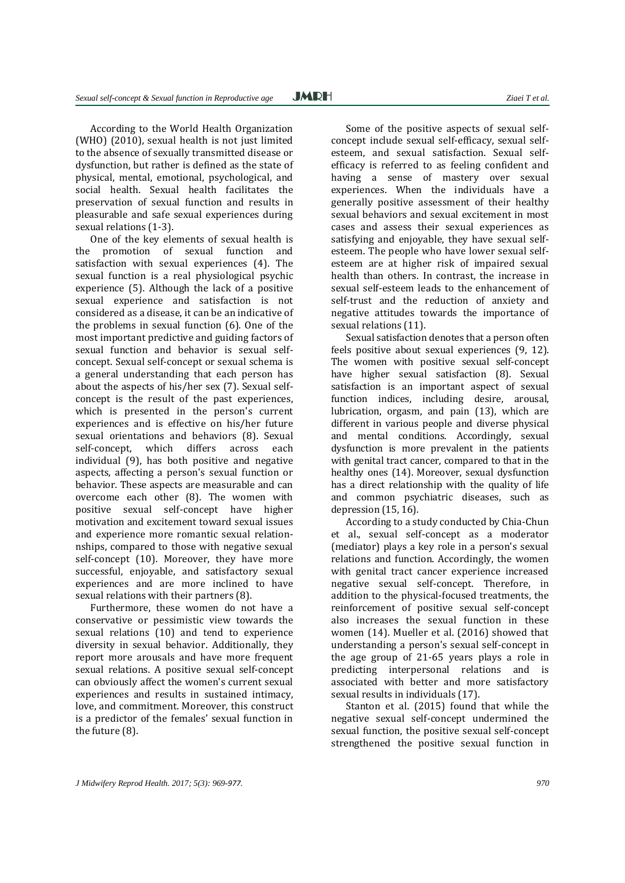According to the World Health Organization (WHO) (2010), sexual health is not just limited to the absence of sexually transmitted disease or dysfunction, but rather is defined as the state of physical, mental, emotional, psychological, and social health. Sexual health facilitates the preservation of sexual function and results in pleasurable and safe sexual experiences during sexual relations (1-3).

One of the key elements of sexual health is the promotion of sexual function and satisfaction with sexual experiences (4). The sexual function is a real physiological psychic experience (5). Although the lack of a positive sexual experience and satisfaction is not considered as a disease, it can be an indicative of the problems in sexual function (6). One of the most important predictive and guiding factors of sexual function and behavior is sexual selfconcept. Sexual self-concept or sexual schema is a general understanding that each person has about the aspects of his/her sex (7). Sexual selfconcept is the result of the past experiences, which is presented in the person's current experiences and is effective on his/her future sexual orientations and behaviors (8). Sexual self-concept, which differs across each individual (9), has both positive and negative aspects, affecting a person's sexual function or behavior. These aspects are measurable and can overcome each other (8). The women with positive sexual self-concept have higher motivation and excitement toward sexual issues and experience more romantic sexual relationnships, compared to those with negative sexual self-concept (10). Moreover, they have more successful, enjoyable, and satisfactory sexual experiences and are more inclined to have sexual relations with their partners (8).

Furthermore, these women do not have a conservative or pessimistic view towards the sexual relations (10) and tend to experience diversity in sexual behavior. Additionally, they report more arousals and have more frequent sexual relations. A positive sexual self-concept can obviously affect the women's current sexual experiences and results in sustained intimacy, love, and commitment. Moreover, this construct is a predictor of the females' sexual function in the future (8).

Some of the positive aspects of sexual selfconcept include sexual self-efficacy, sexual selfesteem, and sexual satisfaction. Sexual selfefficacy is referred to as feeling confident and having a sense of mastery over sexual experiences. When the individuals have a generally positive assessment of their healthy sexual behaviors and sexual excitement in most cases and assess their sexual experiences as satisfying and enjoyable, they have sexual selfesteem. The people who have lower sexual selfesteem are at higher risk of impaired sexual health than others. In contrast, the increase in sexual self-esteem leads to the enhancement of self-trust and the reduction of anxiety and negative attitudes towards the importance of sexual relations (11).

Sexual satisfaction denotes that a person often feels positive about sexual experiences (9, 12). The women with positive sexual self-concept have higher sexual satisfaction (8). Sexual satisfaction is an important aspect of sexual function indices, including desire, arousal, lubrication, orgasm, and pain (13), which are different in various people and diverse physical and mental conditions. Accordingly, sexual dysfunction is more prevalent in the patients with genital tract cancer, compared to that in the healthy ones (14). Moreover, sexual dysfunction has a direct relationship with the quality of life and common psychiatric diseases, such as depression (15, 16).

According to a study conducted by Chia-Chun et al., sexual self-concept as a moderator (mediator) plays a key role in a person's sexual relations and function. Accordingly, the women with genital tract cancer experience increased negative sexual self-concept. Therefore, in addition to the physical-focused treatments, the reinforcement of positive sexual self-concept also increases the sexual function in these women (14). Mueller et al. (2016) showed that understanding a person's sexual self-concept in the age group of 21-65 years plays a role in predicting interpersonal relations and is associated with better and more satisfactory sexual results in individuals (17).

Stanton et al. (2015) found that while the negative sexual self-concept undermined the sexual function, the positive sexual self-concept strengthened the positive sexual function in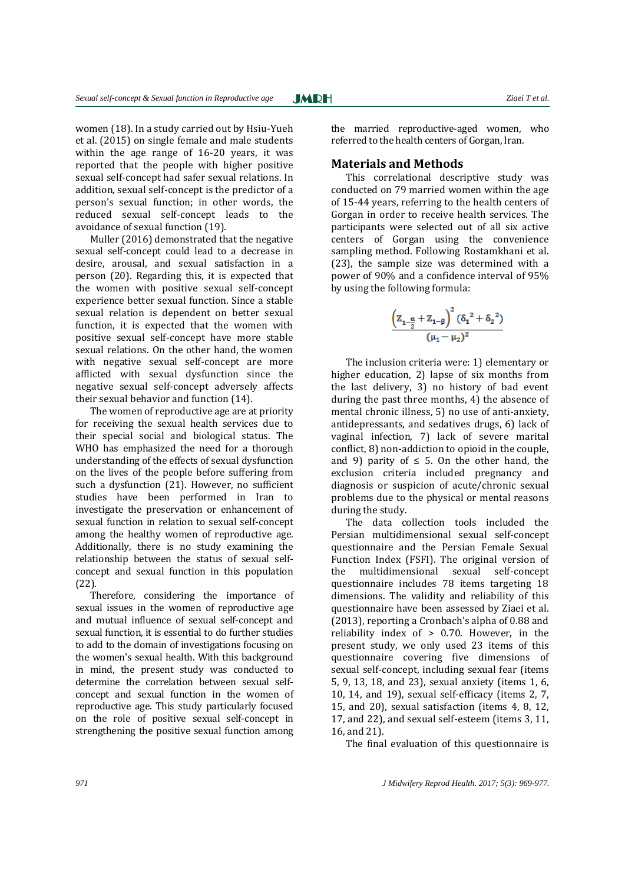women (18). In a study carried out by Hsiu-Yueh et al. (2015) on single female and male students within the age range of 16-20 years, it was reported that the people with higher positive sexual self-concept had safer sexual relations. In addition, sexual self-concept is the predictor of a person's sexual function; in other words, the reduced sexual self-concept leads to the avoidance of sexual function (19).

Muller (2016) demonstrated that the negative sexual self-concept could lead to a decrease in desire, arousal, and sexual satisfaction in a person (20). Regarding this, it is expected that the women with positive sexual self-concept experience better sexual function. Since a stable sexual relation is dependent on better sexual function, it is expected that the women with positive sexual self-concept have more stable sexual relations. On the other hand, the women with negative sexual self-concept are more afflicted with sexual dysfunction since the negative sexual self-concept adversely affects their sexual behavior and function (14).

The women of reproductive age are at priority for receiving the sexual health services due to their special social and biological status. The WHO has emphasized the need for a thorough understanding of the effects of sexual dysfunction on the lives of the people before suffering from such a dysfunction (21). However, no sufficient studies have been performed in Iran to investigate the preservation or enhancement of sexual function in relation to sexual self-concept among the healthy women of reproductive age. Additionally, there is no study examining the relationship between the status of sexual selfconcept and sexual function in this population (22).

Therefore, considering the importance of sexual issues in the women of reproductive age and mutual influence of sexual self-concept and sexual function, it is essential to do further studies to add to the domain of investigations focusing on the women's sexual health. With this background in mind, the present study was conducted to determine the correlation between sexual selfconcept and sexual function in the women of reproductive age. This study particularly focused on the role of positive sexual self-concept in strengthening the positive sexual function among

the married reproductive-aged women, who referred to the health centers of Gorgan, Iran.

#### **Materials and Methods**

This correlational descriptive study was conducted on 79 married women within the age of 15-44 years, referring to the health centers of Gorgan in order to receive health services. The participants were selected out of all six active centers of Gorgan using the convenience sampling method. Following Rostamkhani et al. (23), the sample size was determined with a power of 90% and a confidence interval of 95% by using the following formula:

$$
\frac{\left(Z_{1-\tfrac{\alpha}{2}}+Z_{1-\beta}\right)^2(\delta_1{}^2+\delta_2{}^2)}{(\mu_1-\mu_2)^2}
$$

The inclusion criteria were: 1) elementary or higher education, 2) lapse of six months from the last delivery, 3) no history of bad event during the past three months, 4) the absence of mental chronic illness, 5) no use of anti-anxiety, antidepressants, and sedatives drugs, 6) lack of vaginal infection, 7) lack of severe marital conflict, 8) non-addiction to opioid in the couple, and 9) parity of  $\leq$  5. On the other hand, the exclusion criteria included pregnancy and diagnosis or suspicion of acute/chronic sexual problems due to the physical or mental reasons during the study.

The data collection tools included the Persian multidimensional sexual self-concept questionnaire and the Persian Female Sexual Function Index (FSFI). The original version of the multidimensional sexual self-concept questionnaire includes 78 items targeting 18 dimensions. The validity and reliability of this questionnaire have been assessed by Ziaei et al. (2013), reporting a Cronbach's alpha of 0.88 and reliability index of > 0.70. However, in the present study, we only used 23 items of this questionnaire covering five dimensions of sexual self-concept, including sexual fear (items 5, 9, 13, 18, and 23), sexual anxiety (items 1, 6, 10, 14, and 19), sexual self-efficacy (items 2, 7, 15, and 20), sexual satisfaction (items 4, 8, 12, 17, and 22), and sexual self-esteem (items 3, 11, 16, and 21).

The final evaluation of this questionnaire is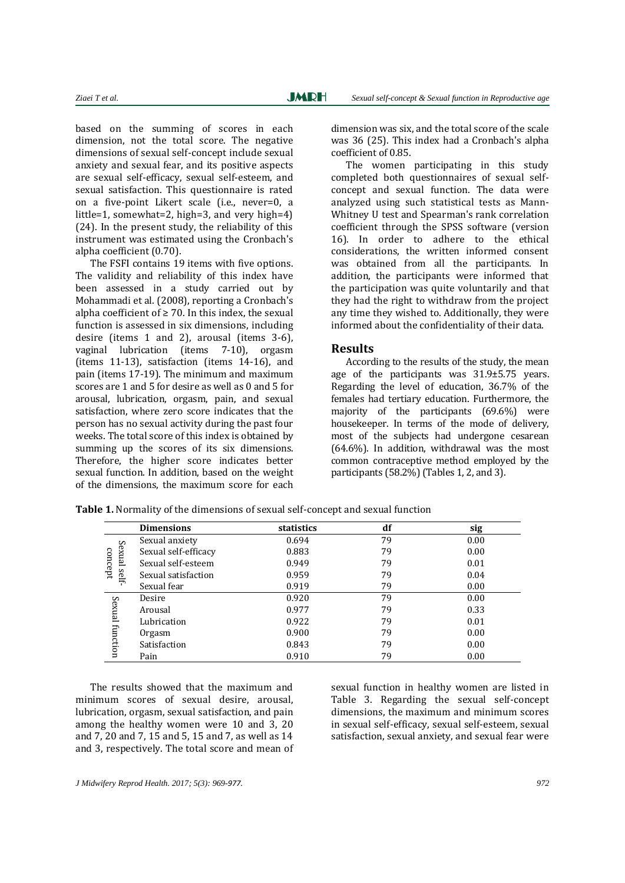based on the summing of scores in each dimension, not the total score. The negative dimensions of sexual self-concept include sexual anxiety and sexual fear, and its positive aspects are sexual self-efficacy, sexual self-esteem, and sexual satisfaction. This questionnaire is rated on a five-point Likert scale (i.e., never=0, a little=1, somewhat=2, high=3, and very high=4) (24). In the present study, the reliability of this instrument was estimated using the Cronbach's alpha coefficient (0.70).

The FSFI contains 19 items with five options. The validity and reliability of this index have been assessed in a study carried out by Mohammadi et al. (2008), reporting a Cronbach's alpha coefficient of  $\geq 70$ . In this index, the sexual function is assessed in six dimensions, including desire (items 1 and 2), arousal (items 3-6), vaginal lubrication (items 7-10), orgasm (items 11-13), satisfaction (items 14-16), and pain (items 17-19). The minimum and maximum scores are 1 and 5 for desire as well as 0 and 5 for arousal, lubrication, orgasm, pain, and sexual satisfaction, where zero score indicates that the person has no sexual activity during the past four weeks. The total score of this index is obtained by summing up the scores of its six dimensions. Therefore, the higher score indicates better sexual function. In addition, based on the weight of the dimensions, the maximum score for each

dimension was six, and the total score of the scale was 36 (25). This index had a Cronbach's alpha coefficient of 0.85.

The women participating in this study completed both questionnaires of sexual selfconcept and sexual function. The data were analyzed using such statistical tests as Mann-Whitney U test and Spearman's rank correlation coefficient through the SPSS software (version 16). In order to adhere to the ethical considerations, the written informed consent was obtained from all the participants. In addition, the participants were informed that the participation was quite voluntarily and that they had the right to withdraw from the project any time they wished to. Additionally, they were informed about the confidentiality of their data.

#### **Results**

According to the results of the study, the mean age of the participants was 31.9±5.75 years. Regarding the level of education, 36.7% of the females had tertiary education. Furthermore, the majority of the participants (69.6%) were housekeeper. In terms of the mode of delivery, most of the subjects had undergone cesarean (64.6%). In addition, withdrawal was the most common contraceptive method employed by the participants (58.2%) (Tables 1, 2, and 3).

|                 | <b>Dimensions</b>    | statistics | df | sig  |
|-----------------|----------------------|------------|----|------|
|                 | Sexual anxiety       | 0.694      | 79 | 0.00 |
| Sexual          | Sexual self-efficacy | 0.883      | 79 | 0.00 |
| concept         | Sexual self-esteem   | 0.949      | 79 | 0.01 |
| self-           | Sexual satisfaction  | 0.959      | 79 | 0.04 |
|                 | Sexual fear          | 0.919      | 79 | 0.00 |
| Sexual function | Desire               | 0.920      | 79 | 0.00 |
|                 | Arousal              | 0.977      | 79 | 0.33 |
|                 | Lubrication          | 0.922      | 79 | 0.01 |
|                 | Orgasm               | 0.900      | 79 | 0.00 |
|                 | Satisfaction         | 0.843      | 79 | 0.00 |
|                 | Pain                 | 0.910      | 79 | 0.00 |

**Table 1.** Normality of the dimensions of sexual self-concept and sexual function

The results showed that the maximum and minimum scores of sexual desire, arousal, lubrication, orgasm, sexual satisfaction, and pain among the healthy women were 10 and 3, 20 and 7, 20 and 7, 15 and 5, 15 and 7, as well as 14 and 3, respectively. The total score and mean of sexual function in healthy women are listed in Table 3. Regarding the sexual self-concept dimensions, the maximum and minimum scores in sexual self-efficacy, sexual self-esteem, sexual satisfaction, sexual anxiety, and sexual fear were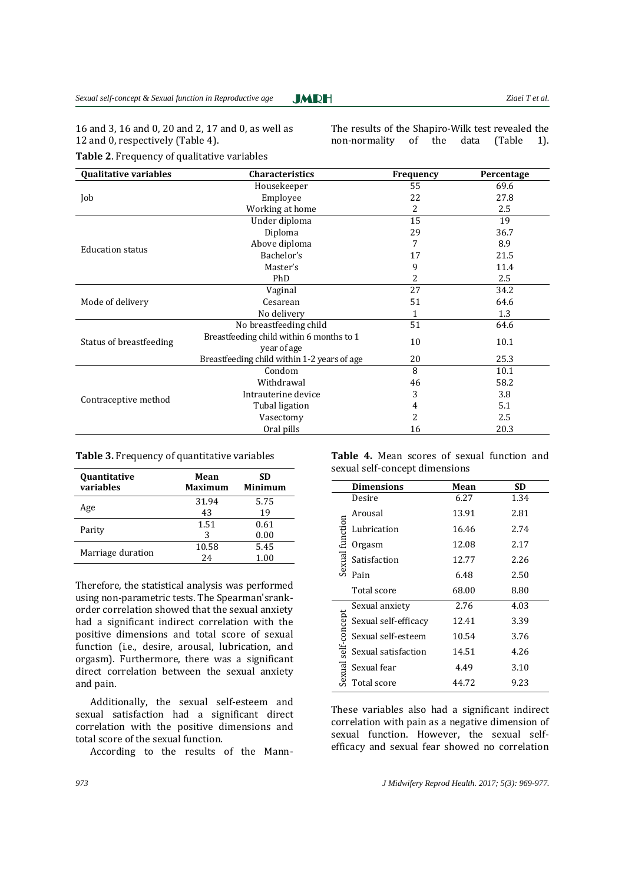16 and 3, 16 and 0, 20 and 2, 17 and 0, as well as 12 and 0, respectively (Table 4).

**Table 2**. Frequency of qualitative variables

The results of the Shapiro-Wilk test revealed the non-normality of the data (Table 1).

| <b>Qualitative variables</b> | <b>Characteristics</b>                      | Frequency | Percentage |  |
|------------------------------|---------------------------------------------|-----------|------------|--|
|                              | Housekeeper                                 | 55        | 69.6       |  |
| Job                          | Employee                                    | 22        | 27.8       |  |
|                              | Working at home                             | 2         | 2.5        |  |
|                              | Under diploma                               | 15        | 19         |  |
|                              | Diploma                                     | 29        | 36.7       |  |
| <b>Education status</b>      | Above diploma                               | 7         | 8.9        |  |
|                              | Bachelor's                                  | 17        | 21.5       |  |
|                              | Master's                                    | 9         | 11.4       |  |
|                              | PhD                                         | 2         | 2.5        |  |
|                              | Vaginal                                     | 27        | 34.2       |  |
| Mode of delivery             | Cesarean                                    | 51        | 64.6       |  |
|                              | No delivery                                 |           | 1.3        |  |
|                              | No breastfeeding child                      | 51        | 64.6       |  |
| Status of breastfeeding      | Breastfeeding child within 6 months to 1    | 10        | 10.1       |  |
|                              | year of age                                 |           |            |  |
|                              | Breastfeeding child within 1-2 years of age | 20        | 25.3       |  |
|                              | Condom                                      | 8         | 10.1       |  |
|                              | Withdrawal                                  | 46        | 58.2       |  |
| Contraceptive method         | Intrauterine device                         | 3         | 3.8        |  |
|                              | Tubal ligation                              | 4         | 5.1        |  |
|                              | Vasectomy                                   | 2         | 2.5        |  |
|                              | Oral pills                                  | 16        | 20.3       |  |

**JMRH** 

| Quantitative<br>variables | Mean<br><b>Maximum</b> | SD<br>Minimum |  |  |
|---------------------------|------------------------|---------------|--|--|
| Age                       | 31.94                  | 5.75          |  |  |
|                           | 43                     | 19            |  |  |
|                           | 1.51                   | 0.61          |  |  |
| Parity                    | 3                      | 0.00          |  |  |
|                           | 10.58                  | 5.45          |  |  |
| Marriage duration         | 24                     | 1.00          |  |  |

**Table 3.** Frequency of quantitative variables

Therefore, the statistical analysis was performed using non-parametric tests. The Spearman'srankorder correlation showed that the sexual anxiety had a significant indirect correlation with the positive dimensions and total score of sexual function (i.e., desire, arousal, lubrication, and orgasm). Furthermore, there was a significant direct correlation between the sexual anxiety and pain.

Additionally, the sexual self-esteem and sexual satisfaction had a significant direct correlation with the positive dimensions and total score of the sexual function.

According to the results of the Mann-

**Table 4.** Mean scores of sexual function and sexual self-concept dimensions

| <b>Dimensions</b>                    | Mean  | <b>SD</b> |
|--------------------------------------|-------|-----------|
| Desire                               | 6.27  | 1.34      |
| Arousal                              | 13.91 | 2.81      |
| Lubrication                          | 16.46 | 2.74      |
| Orgasm                               | 12.08 | 2.17      |
| Sexual function<br>Satisfaction      | 12.77 | 2.26      |
| Pain                                 | 6.48  | 2.50      |
| Total score                          | 68.00 | 8.80      |
| Sexual anxiety                       | 2.76  | 4.03      |
| self-concept<br>Sexual self-efficacy | 12.41 | 3.39      |
| Sexual self-esteem                   | 10.54 | 3.76      |
| Sexual satisfaction                  | 14.51 | 4.26      |
| sexual<br>Sexual fear                | 4.49  | 3.10      |
| Total score                          | 44.72 | 9.23      |

These variables also had a significant indirect correlation with pain as a negative dimension of sexual function. However, the sexual selfefficacy and sexual fear showed no correlation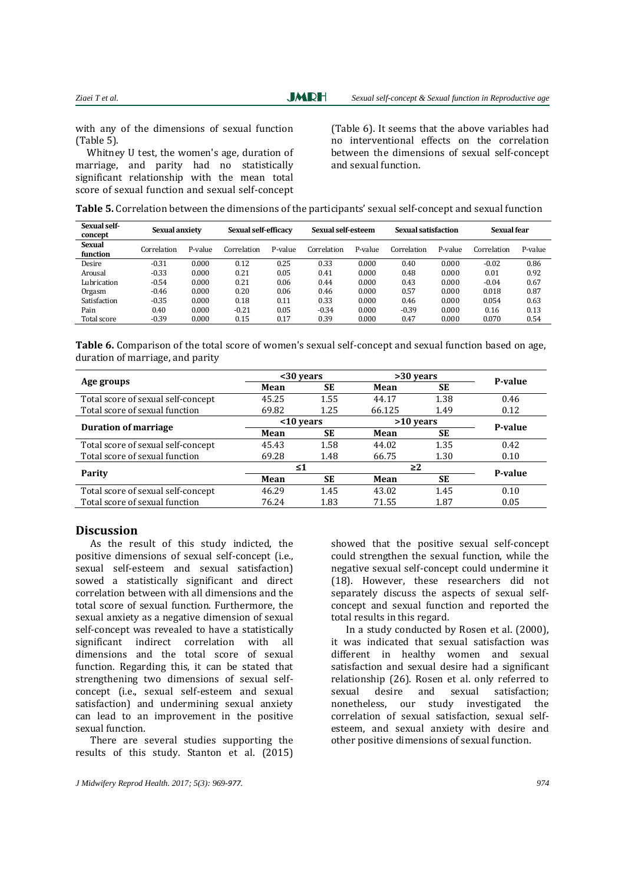with any of the dimensions of sexual function (Table 5).

 Whitney U test, the women's age, duration of marriage, and parity had no statistically significant relationship with the mean total score of sexual function and sexual self-concept (Table 6). It seems that the above variables had no interventional effects on the correlation between the dimensions of sexual self-concept and sexual function.

| Sexual self-<br>concept | Sexual anxiety |         | Sexual self-efficacy |         | Sexual self-esteem |         | Sexual satisfaction |         | Sexual fear |         |
|-------------------------|----------------|---------|----------------------|---------|--------------------|---------|---------------------|---------|-------------|---------|
| Sexual<br>function      | Correlation    | P-value | Correlation          | P-value | Correlation        | P-value | Correlation         | P-value | Correlation | P-value |
| Desire                  | $-0.31$        | 0.000   | 0.12                 | 0.25    | 0.33               | 0.000   | 0.40                | 0.000   | $-0.02$     | 0.86    |
| Arousal                 | $-0.33$        | 0.000   | 0.21                 | 0.05    | 0.41               | 0.000   | 0.48                | 0.000   | 0.01        | 0.92    |
| Lubrication             | $-0.54$        | 0.000   | 0.21                 | 0.06    | 0.44               | 0.000   | 0.43                | 0.000   | $-0.04$     | 0.67    |
| Orgasm                  | $-0.46$        | 0.000   | 0.20                 | 0.06    | 0.46               | 0.000   | 0.57                | 0.000   | 0.018       | 0.87    |
| <b>Satisfaction</b>     | $-0.35$        | 0.000   | 0.18                 | 0.11    | 0.33               | 0.000   | 0.46                | 0.000   | 0.054       | 0.63    |
| Pain                    | 0.40           | 0.000   | $-0.21$              | 0.05    | $-0.34$            | 0.000   | $-0.39$             | 0.000   | 0.16        | 0.13    |
| Total score             | $-0.39$        | 0.000   | 0.15                 | 0.17    | 0.39               | 0.000   | 0.47                | 0.000   | 0.070       | 0.54    |

**Table 6.** Comparison of the total score of women's sexual self-concept and sexual function based on age, duration of marriage, and parity

|                                    | $30$ vears |           | >30 years   | P-value   |         |  |
|------------------------------------|------------|-----------|-------------|-----------|---------|--|
| Age groups                         | Mean       | <b>SE</b> | Mean        | SE        |         |  |
| Total score of sexual self-concept | 45.25      | 1.55      | 44.17       | 1.38      | 0.46    |  |
| Total score of sexual function     | 69.82      | 1.25      | 66.125      | 1.49      | 0.12    |  |
|                                    | $10$ years |           | $>10$ years |           | P-value |  |
| <b>Duration of marriage</b>        | Mean       | SE        | Mean        | <b>SE</b> |         |  |
| Total score of sexual self-concept | 45.43      | 1.58      | 44.02       | 1.35      | 0.42    |  |
| Total score of sexual function     | 69.28      | 1.48      | 66.75       | 1.30      | 0.10    |  |
| Parity                             | ≤1         |           | $\geq$ 2    |           | P-value |  |
|                                    | Mean       | <b>SE</b> | Mean        | SE        |         |  |
| Total score of sexual self-concept | 46.29      | 1.45      | 43.02       | 1.45      | 0.10    |  |
| Total score of sexual function     | 76.24      | 1.83      | 71.55       | 1.87      | 0.05    |  |

#### **Discussion**

As the result of this study indicted, the positive dimensions of sexual self-concept (i.e., sexual self-esteem and sexual satisfaction) sowed a statistically significant and direct correlation between with all dimensions and the total score of sexual function. Furthermore, the sexual anxiety as a negative dimension of sexual self-concept was revealed to have a statistically significant indirect correlation with all dimensions and the total score of sexual function. Regarding this, it can be stated that strengthening two dimensions of sexual selfconcept (i.e., sexual self-esteem and sexual satisfaction) and undermining sexual anxiety can lead to an improvement in the positive sexual function.

There are several studies supporting the results of this study. Stanton et al. (2015)

*J Midwifery Reprod Health. 2017; 5(3): 969-977. 974*

showed that the positive sexual self-concept could strengthen the sexual function, while the negative sexual self-concept could undermine it (18). However, these researchers did not separately discuss the aspects of sexual selfconcept and sexual function and reported the total results in this regard.

In a study conducted by Rosen et al. (2000), it was indicated that sexual satisfaction was different in healthy women and sexual satisfaction and sexual desire had a significant relationship (26). Rosen et al. only referred to sexual desire and sexual satisfaction; nonetheless, our study investigated the correlation of sexual satisfaction, sexual selfesteem, and sexual anxiety with desire and other positive dimensions of sexual function.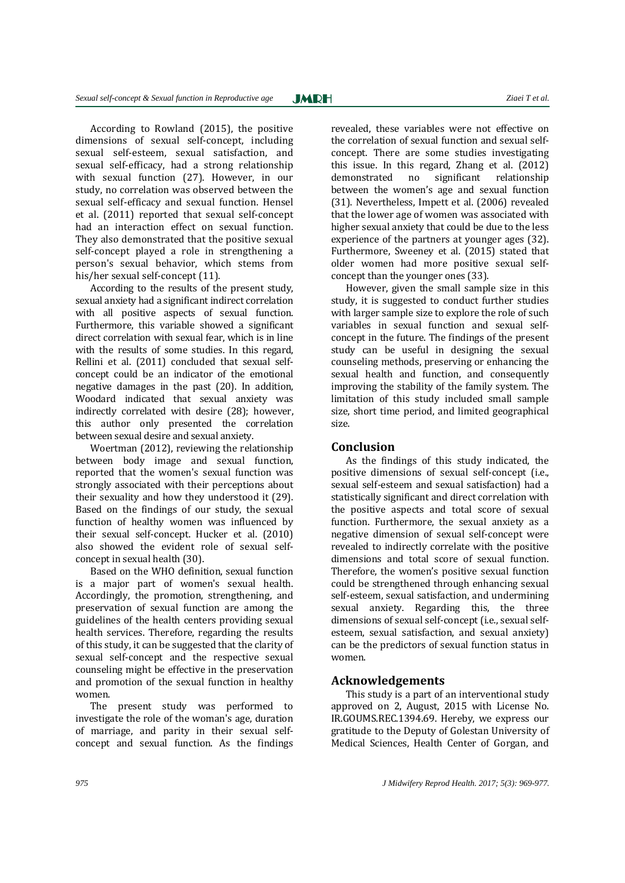According to Rowland (2015), the positive dimensions of sexual self-concept, including sexual self-esteem, sexual satisfaction, and sexual self-efficacy, had a strong relationship with sexual function (27). However, in our study, no correlation was observed between the sexual self-efficacy and sexual function. Hensel et al. (2011) reported that sexual self-concept had an interaction effect on sexual function. They also demonstrated that the positive sexual self-concept played a role in strengthening a person's sexual behavior, which stems from his/her sexual self-concept (11).

According to the results of the present study, sexual anxiety had a significant indirect correlation with all positive aspects of sexual function. Furthermore, this variable showed a significant direct correlation with sexual fear, which is in line with the results of some studies. In this regard, Rellini et al. (2011) concluded that sexual selfconcept could be an indicator of the emotional negative damages in the past (20). In addition, Woodard indicated that sexual anxiety was indirectly correlated with desire (28); however, this author only presented the correlation between sexual desire and sexual anxiety.

Woertman (2012), reviewing the relationship between body image and sexual function, reported that the women's sexual function was strongly associated with their perceptions about their sexuality and how they understood it (29). Based on the findings of our study, the sexual function of healthy women was influenced by their sexual self-concept. Hucker et al. (2010) also showed the evident role of sexual selfconcept in sexual health (30).

Based on the WHO definition, sexual function is a major part of women's sexual health. Accordingly, the promotion, strengthening, and preservation of sexual function are among the guidelines of the health centers providing sexual health services. Therefore, regarding the results of this study, it can be suggested that the clarity of sexual self-concept and the respective sexual counseling might be effective in the preservation and promotion of the sexual function in healthy women.

The present study was performed to investigate the role of the woman's age, duration of marriage, and parity in their sexual selfconcept and sexual function. As the findings

revealed, these variables were not effective on the correlation of sexual function and sexual selfconcept. There are some studies investigating this issue. In this regard, Zhang et al. (2012) demonstrated no significant relationship between the women's age and sexual function (31). Nevertheless, Impett et al. (2006) revealed that the lower age of women was associated with higher sexual anxiety that could be due to the less experience of the partners at younger ages (32). Furthermore, Sweeney et al. (2015) stated that older women had more positive sexual selfconcept than the younger ones (33).

However, given the small sample size in this study, it is suggested to conduct further studies with larger sample size to explore the role of such variables in sexual function and sexual selfconcept in the future. The findings of the present study can be useful in designing the sexual counseling methods, preserving or enhancing the sexual health and function, and consequently improving the stability of the family system. The limitation of this study included small sample size, short time period, and limited geographical size.

## **Conclusion**

As the findings of this study indicated, the positive dimensions of sexual self-concept (i.e., sexual self-esteem and sexual satisfaction) had a statistically significant and direct correlation with the positive aspects and total score of sexual function. Furthermore, the sexual anxiety as a negative dimension of sexual self-concept were revealed to indirectly correlate with the positive dimensions and total score of sexual function. Therefore, the women's positive sexual function could be strengthened through enhancing sexual self-esteem, sexual satisfaction, and undermining sexual anxiety. Regarding this, the three dimensions of sexual self-concept (i.e., sexual selfesteem, sexual satisfaction, and sexual anxiety) can be the predictors of sexual function status in women.

## **Acknowledgements**

This study is a part of an interventional study approved on 2, August, 2015 with License No. IR.GOUMS.REC.1394.69. Hereby, we express our gratitude to the Deputy of Golestan University of Medical Sciences, Health Center of Gorgan, and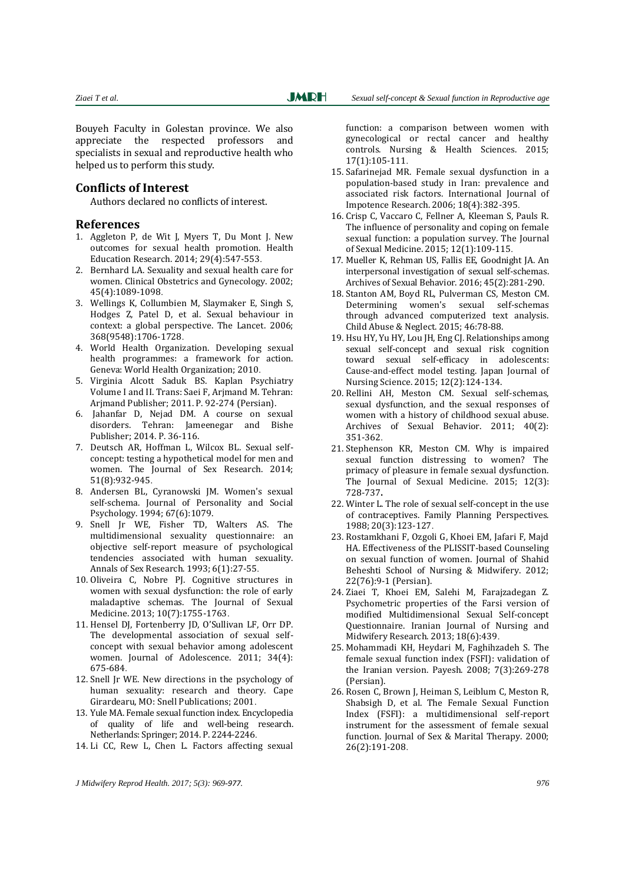Bouyeh Faculty in Golestan province. We also appreciate the respected professors and specialists in sexual and reproductive health who helped us to perform this study.

## **Conflicts of Interest**

Authors declared no conflicts of interest.

#### **References**

- 1. Aggleton P, de Wit J, Myers T, Du Mont J. New outcomes for sexual health promotion. Health Education Research. 2014; 29(4):547-553.
- 2. Bernhard LA. Sexuality and sexual health care for women. Clinical Obstetrics and Gynecology. 2002; 45(4):1089-1098.
- 3. Wellings K, Collumbien M, Slaymaker E, Singh S, Hodges Z, Patel D, et al. Sexual behaviour in context: a global perspective. The Lancet. 2006; 368(9548):1706-1728.
- 4. World Health Organization. Developing sexual health programmes: a framework for action. Geneva: World Health Organization; 2010.
- 5. Virginia Alcott Saduk BS. Kaplan Psychiatry Volume I and II. Trans: Saei F, Arjmand M. Tehran: Arjmand Publisher; 2011. P. 92-274 (Persian).
- 6. Jahanfar D, Nejad DM. A course on sexual disorders. Tehran: Jameenegar and Bishe Publisher; 2014. P. 36-116.
- 7. Deutsch AR, Hoffman L, Wilcox BL. Sexual selfconcept: testing a hypothetical model for men and women. The Journal of Sex Research. 2014; 51(8):932-945.
- 8. Andersen BL, Cyranowski JM. Women's sexual self-schema. Journal of Personality and Social Psychology. 1994; 67(6):1079.
- 9. Snell Jr WE, Fisher TD, Walters AS. The multidimensional sexuality questionnaire: an objective self-report measure of psychological tendencies associated with human sexuality. Annals of Sex Research. 1993; 6(1):27-55.
- 10. Oliveira C, Nobre PJ. Cognitive structures in women with sexual dysfunction: the role of early maladaptive schemas. The Journal of Sexual Medicine. 2013; 10(7):1755-1763.
- 11. Hensel DJ, Fortenberry JD, O'Sullivan LF, Orr DP. The developmental association of sexual selfconcept with sexual behavior among adolescent women. Journal of Adolescence. 2011; 34(4): 675-684.
- 12. Snell Jr WE. New directions in the psychology of human sexuality: research and theory. Cape Girardearu, MO: Snell Publications; 2001.
- 13. Yule MA. Female sexual function index. Encyclopedia of quality of life and well-being research. Netherlands: Springer; 2014. P. 2244-2246.
- 14. Li CC, Rew L, Chen L. Factors affecting sexual

function: a comparison between women with gynecological or rectal cancer and healthy controls. Nursing & Health Sciences. 2015; 17(1):105-111.

- 15. Safarinejad MR. Female sexual dysfunction in a population-based study in Iran: prevalence and associated risk factors. International Journal of Impotence Research. 2006; 18(4):382-395.
- 16. Crisp C, Vaccaro C, Fellner A, Kleeman S, Pauls R. The influence of personality and coping on female sexual function: a population survey. The Journal of Sexual Medicine. 2015; 12(1):109-115.
- 17. Mueller K, Rehman US, Fallis EE, Goodnight JA. An interpersonal investigation of sexual self-schemas. Archives of Sexual Behavior. 2016; 45(2):281-290.
- 18. Stanton AM, Boyd RL, Pulverman CS, Meston CM. Determining women's sexual self-schemas through advanced computerized text analysis. Child Abuse & Neglect. 2015; 46:78-88.
- 19. Hsu HY, Yu HY, Lou JH, Eng CJ. Relationships among sexual self‐concept and sexual risk cognition toward sexual self‐efficacy in adolescents: Cause‐and‐effect model testing. Japan Journal of Nursing Science. 2015; 12(2):124-134.
- 20. Rellini AH, Meston CM. Sexual self-schemas, sexual dysfunction, and the sexual responses of women with a history of childhood sexual abuse. Archives of Sexual Behavior. 2011; 40(2): 351-362.
- 21. Stephenson KR, Meston CM. Why is impaired sexual function distressing to women? The primacy of pleasure in female sexual dysfunction. The Journal of Sexual Medicine. 2015; 12(3): 728-737**.**
- 22. Winter L. The role of sexual self-concept in the use of contraceptives. Family Planning Perspectives. 1988; 20(3):123-127.
- 23. Rostamkhani F, Ozgoli G, Khoei EM, Jafari F, Majd HA. Effectiveness of the PLISSIT-based Counseling on sexual function of women. Journal of Shahid Beheshti School of Nursing & Midwifery. 2012; 22(76):9-1 (Persian).
- 24. Ziaei T, Khoei EM, Salehi M, Farajzadegan Z. Psychometric properties of the Farsi version of modified Multidimensional Sexual Self-concept Questionnaire. Iranian Journal of Nursing and Midwifery Research. 2013; 18(6):439.
- 25. Mohammadi KH, Heydari M, Faghihzadeh S. The female sexual function index (FSFI): validation of the Iranian version. Payesh. 2008; 7(3):269-278 (Persian).
- 26. Rosen C, Brown J, Heiman S, Leiblum C, Meston R, Shabsigh D, et al. The Female Sexual Function Index (FSFI): a multidimensional self-report instrument for the assessment of female sexual function. Journal of Sex & Marital Therapy. 2000; 26(2):191-208.

*J Midwifery Reprod Health. 2017; 5(3): 969-977. 976*